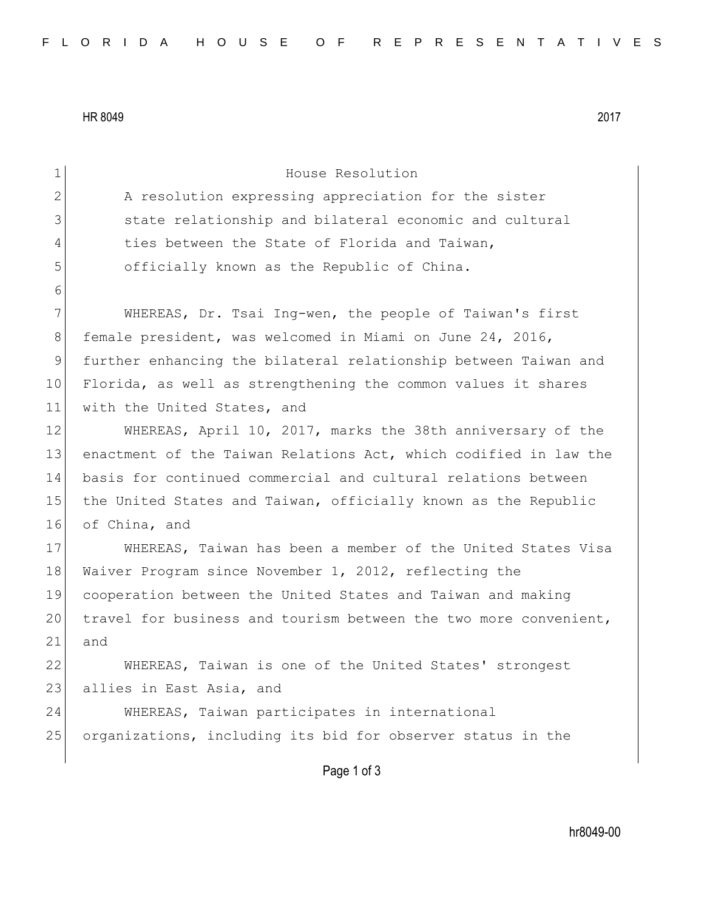HR 8049 2017

| $\mathbf 1$    | House Resolution                                                 |
|----------------|------------------------------------------------------------------|
| $\overline{2}$ | A resolution expressing appreciation for the sister              |
| 3              | state relationship and bilateral economic and cultural           |
| 4              | ties between the State of Florida and Taiwan,                    |
| 5              | officially known as the Republic of China.                       |
| 6              |                                                                  |
| 7              | WHEREAS, Dr. Tsai Ing-wen, the people of Taiwan's first          |
| 8              | female president, was welcomed in Miami on June 24, 2016,        |
| $\mathsf 9$    | further enhancing the bilateral relationship between Taiwan and  |
| 10             | Florida, as well as strengthening the common values it shares    |
| 11             | with the United States, and                                      |
| 12             | WHEREAS, April 10, 2017, marks the 38th anniversary of the       |
| 13             | enactment of the Taiwan Relations Act, which codified in law the |
| 14             | basis for continued commercial and cultural relations between    |
| 15             | the United States and Taiwan, officially known as the Republic   |
| 16             | of China, and                                                    |
| 17             | WHEREAS, Taiwan has been a member of the United States Visa      |
| 18             | Waiver Program since November 1, 2012, reflecting the            |
| 19             | cooperation between the United States and Taiwan and making      |
| 20             | travel for business and tourism between the two more convenient, |
| 21             | and                                                              |
| 22             | WHEREAS, Taiwan is one of the United States' strongest           |
| 23             | allies in East Asia, and                                         |
| 24             | WHEREAS, Taiwan participates in international                    |
| 25             | organizations, including its bid for observer status in the      |
|                |                                                                  |
|                | Page 1 of 3                                                      |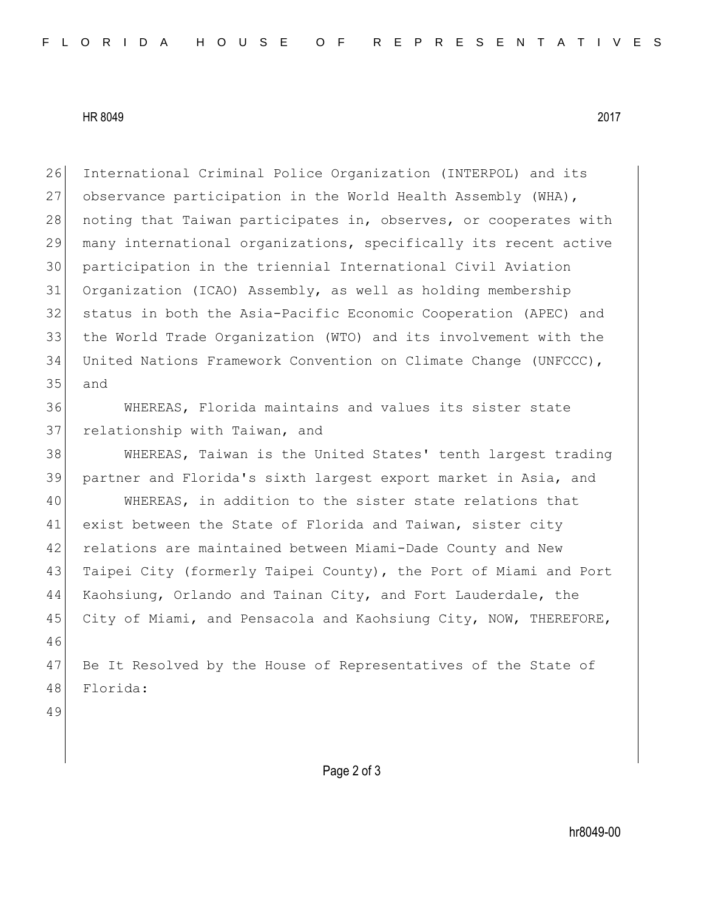## HR 8049 2017

 International Criminal Police Organization (INTERPOL) and its observance participation in the World Health Assembly (WHA), 28 noting that Taiwan participates in, observes, or cooperates with many international organizations, specifically its recent active participation in the triennial International Civil Aviation Organization (ICAO) Assembly, as well as holding membership status in both the Asia-Pacific Economic Cooperation (APEC) and the World Trade Organization (WTO) and its involvement with the United Nations Framework Convention on Climate Change (UNFCCC), and

 WHEREAS, Florida maintains and values its sister state 37 relationship with Taiwan, and

 WHEREAS, Taiwan is the United States' tenth largest trading partner and Florida's sixth largest export market in Asia, and

 WHEREAS, in addition to the sister state relations that 41 exist between the State of Florida and Taiwan, sister city relations are maintained between Miami-Dade County and New 43 Taipei City (formerly Taipei County), the Port of Miami and Port Kaohsiung, Orlando and Tainan City, and Fort Lauderdale, the 45 City of Miami, and Pensacola and Kaohsiung City, NOW, THEREFORE, 

47 Be It Resolved by the House of Representatives of the State of Florida:

Page 2 of 3